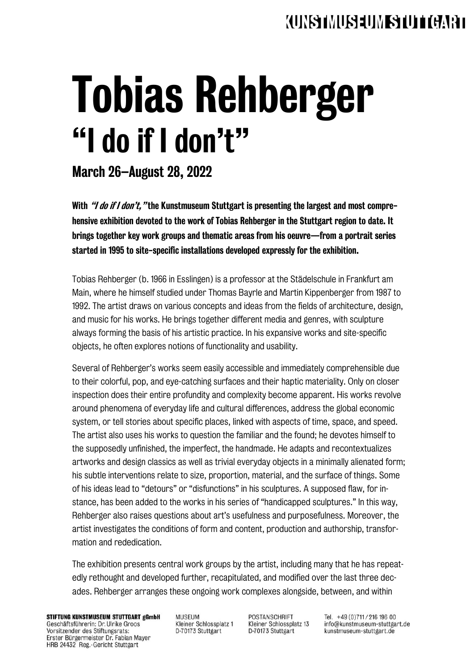## *CURS IMUSEUM IS THE CARET*

# Tobias Rehberger "I do if I don't"

#### March 26–August 28, 2022

With *"I do if I don't*, "the Kunstmuseum Stuttgart is presenting the largest and most comprehensive exhibition devoted to the work of Tobias Rehberger in the Stuttgart region to date. It brings together key work groups and thematic areas from his oeuvre—from a portrait series started in 1995 to site-specific installations developed expressly for the exhibition.

Tobias Rehberger (b. 1966 in Esslingen) is a professor at the Städelschule in Frankfurt am Main, where he himself studied under Thomas Bayrle and Martin Kippenberger from 1987 to 1992. The artist draws on various concepts and ideas from the fields of architecture, design, and music for his works. He brings together different media and genres, with sculpture always forming the basis of his artistic practice. In his expansive works and site-specific objects, he often explores notions of functionality and usability.

Several of Rehberger's works seem easily accessible and immediately comprehensible due to their colorful, pop, and eye-catching surfaces and their haptic materiality. Only on closer inspection does their entire profundity and complexity become apparent. His works revolve around phenomena of everyday life and cultural differences, address the global economic system, or tell stories about specific places, linked with aspects of time, space, and speed. The artist also uses his works to question the familiar and the found; he devotes himself to the supposedly unfinished, the imperfect, the handmade. He adapts and recontextualizes artworks and design classics as well as trivial everyday objects in a minimally alienated form; his subtle interventions relate to size, proportion, material, and the surface of things. Some of his ideas lead to "detours" or "disfunctions" in his sculptures. A supposed flaw, for instance, has been added to the works in his series of "handicapped sculptures." In this way, Rehberger also raises questions about art's usefulness and purposefulness. Moreover, the artist investigates the conditions of form and content, production and authorship, transformation and rededication.

The exhibition presents central work groups by the artist, including many that he has repeatedly rethought and developed further, recapitulated, and modified over the last three decades. Rehberger arranges these ongoing work complexes alongside, between, and within

STIFTUNG KUNSTMUSEUM STUTTGART gGmbH Geschäftsführerin: Dr. Ulrike Groos Vorsitzender des Stiftungsrats: Erster Bürgermeister Dr. Fabian Mayer HRB 24432 Reg.-Gericht Stuttgart

**MUSEUM** Kleiner Schlossplatz 1 D-70173 Stuttgart

**POSTANSCHRIFT** Kleiner Schlossplatz 13 D-70173 Stuttgart

Tel. +49 (0) 711 / 216 196 00 info@kunstmuseum-stuttgart.de kunstmuseum-stuttgart.de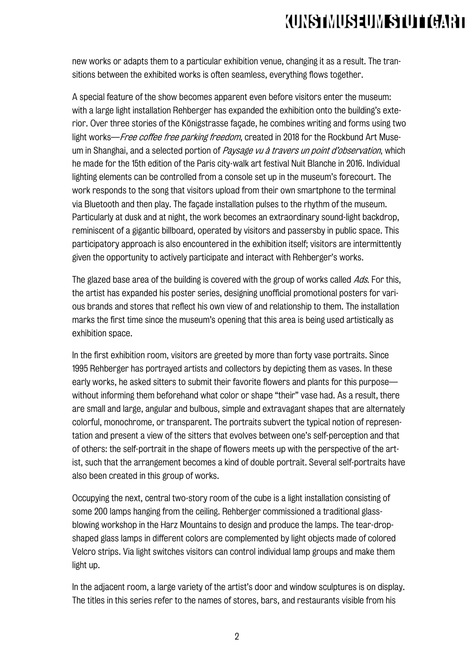## **AUNSTMUSEUMES THE CLIPP**

new works or adapts them to a particular exhibition venue, changing it as a result. The transitions between the exhibited works is often seamless, everything flows together.

A special feature of the show becomes apparent even before visitors enter the museum: with a large light installation Rehberger has expanded the exhibition onto the building's exterior. Over three stories of the Königstrasse façade, he combines writing and forms using two light works—*Free coffee free parking freedom*, created in 2018 for the Rockbund Art Museum in Shanghai, and a selected portion of Paysage vu à travers un point d'observation, which he made for the 15th edition of the Paris city-walk art festival Nuit Blanche in 2016. Individual lighting elements can be controlled from a console set up in the museum's forecourt. The work responds to the song that visitors upload from their own smartphone to the terminal via Bluetooth and then play. The façade installation pulses to the rhythm of the museum. Particularly at dusk and at night, the work becomes an extraordinary sound-light backdrop, reminiscent of a gigantic billboard, operated by visitors and passersby in public space. This participatory approach is also encountered in the exhibition itself; visitors are intermittently given the opportunity to actively participate and interact with Rehberger's works.

The glazed base area of the building is covered with the group of works called Ads. For this, the artist has expanded his poster series, designing unofficial promotional posters for various brands and stores that reflect his own view of and relationship to them. The installation marks the first time since the museum's opening that this area is being used artistically as exhibition space.

In the first exhibition room, visitors are greeted by more than forty vase portraits. Since 1995 Rehberger has portrayed artists and collectors by depicting them as vases. In these early works, he asked sitters to submit their favorite flowers and plants for this purpose without informing them beforehand what color or shape "their" vase had. As a result, there are small and large, angular and bulbous, simple and extravagant shapes that are alternately colorful, monochrome, or transparent. The portraits subvert the typical notion of representation and present a view of the sitters that evolves between one's self-perception and that of others: the self-portrait in the shape of flowers meets up with the perspective of the artist, such that the arrangement becomes a kind of double portrait. Several self-portraits have also been created in this group of works.

Occupying the next, central two-story room of the cube is a light installation consisting of some 200 lamps hanging from the ceiling. Rehberger commissioned a traditional glassblowing workshop in the Harz Mountains to design and produce the lamps. The tear-dropshaped glass lamps in different colors are complemented by light objects made of colored Velcro strips. Via light switches visitors can control individual lamp groups and make them light up.

In the adjacent room, a large variety of the artist's door and window sculptures is on display. The titles in this series refer to the names of stores, bars, and restaurants visible from his